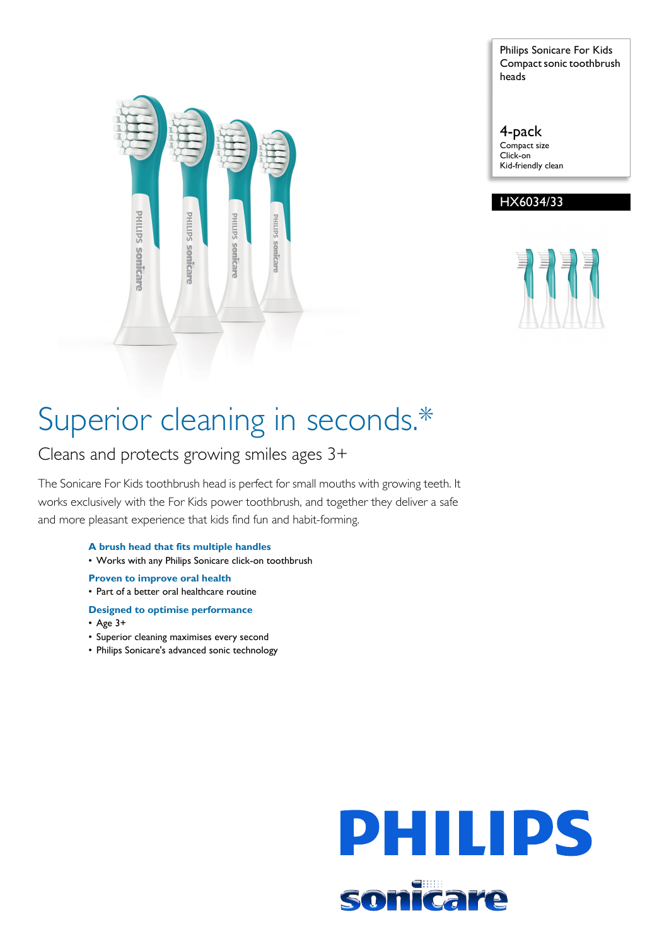

Philips Sonicare For Kids Compact sonic toothbrush heads

## 4-pack

Compact size Click-on Kid-friendly clean





# Superior cleaning in seconds.\*

Cleans and protects growing smiles ages 3+

The Sonicare For Kids toothbrush head is perfect for small mouths with growing teeth. It works exclusively with the For Kids power toothbrush, and together they deliver a safe and more pleasant experience that kids find fun and habit-forming.

- **A brush head that fits multiple handles**
- Works with any Philips Sonicare click-on toothbrush

**Proven to improve oral health**

- Part of a better oral healthcare routine
- **Designed to optimise performance**
- Age 3+
- Superior cleaning maximises every second
- Philips Sonicare's advanced sonic technology